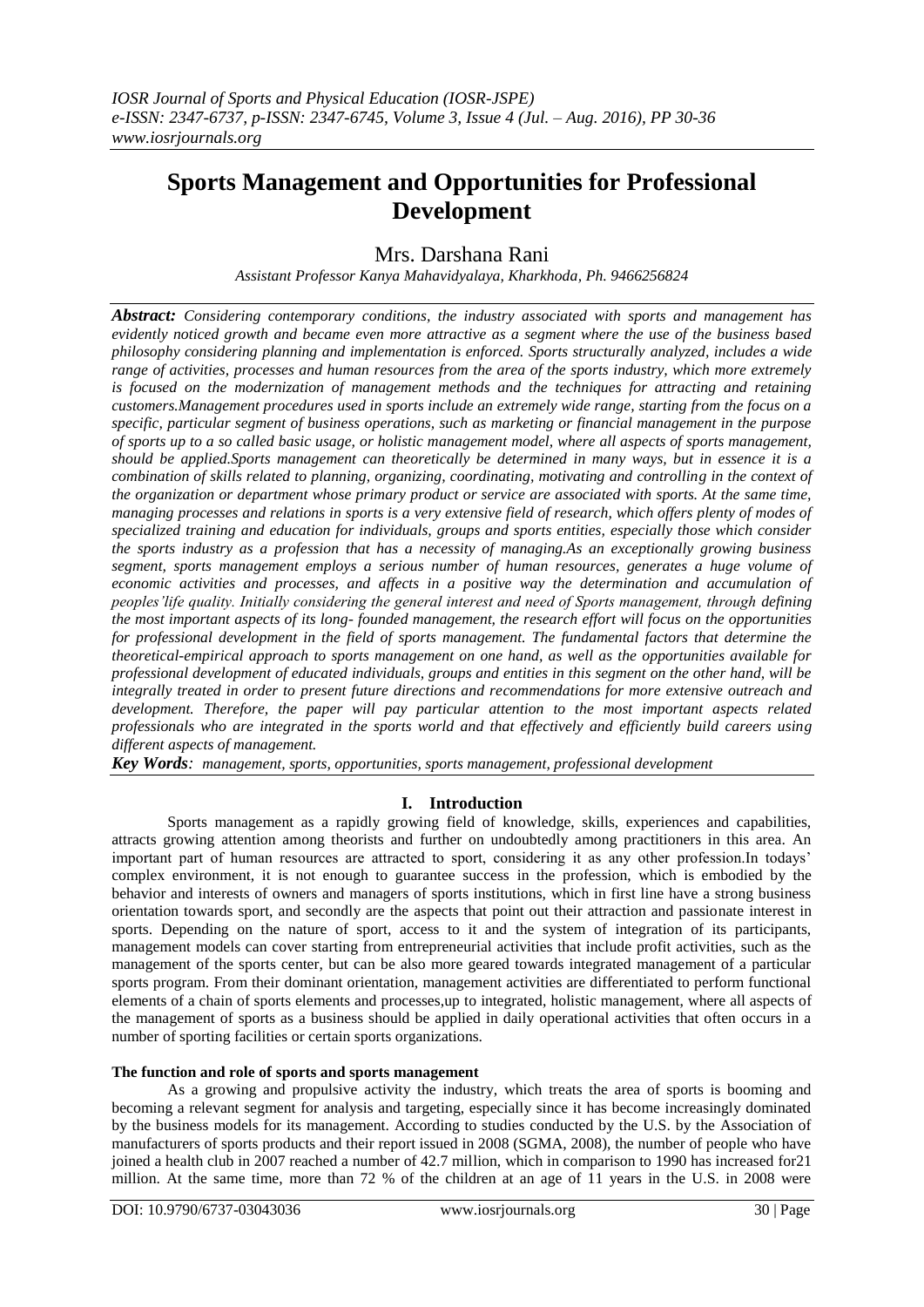# **Sports Management and Opportunities for Professional Development**

# Mrs. Darshana Rani

*Assistant Professor Kanya Mahavidyalaya, Kharkhoda, Ph. 9466256824*

*Abstract: Considering contemporary conditions, the industry associated with sports and management has evidently noticed growth and became even more attractive as a segment where the use of the business based philosophy considering planning and implementation is enforced. Sports structurally analyzed, includes a wide range of activities, processes and human resources from the area of the sports industry, which more extremely*  is focused on the modernization of management methods and the techniques for attracting and retaining *customers.Management procedures used in sports include an extremely wide range, starting from the focus on a specific, particular segment of business operations, such as marketing or financial management in the purpose of sports up to a so called basic usage, or holistic management model, where all aspects of sports management, should be applied.Sports management can theoretically be determined in many ways, but in essence it is a combination of skills related to planning, organizing, coordinating, motivating and controlling in the context of the organization or department whose primary product or service are associated with sports. At the same time, managing processes and relations in sports is a very extensive field of research, which offers plenty of modes of specialized training and education for individuals, groups and sports entities, especially those which consider the sports industry as a profession that has a necessity of managing.As an exceptionally growing business segment, sports management employs a serious number of human resources, generates a huge volume of economic activities and processes, and affects in a positive way the determination and accumulation of peoples'life quality. Initially considering the general interest and need of Sports management, through defining the most important aspects of its long- founded management, the research effort will focus on the opportunities for professional development in the field of sports management. The fundamental factors that determine the theoretical-empirical approach to sports management on one hand, as well as the opportunities available for professional development of educated individuals, groups and entities in this segment on the other hand, will be integrally treated in order to present future directions and recommendations for more extensive outreach and development. Therefore, the paper will pay particular attention to the most important aspects related professionals who are integrated in the sports world and that effectively and efficiently build careers using different aspects of management.*

*Key Words: management, sports, opportunities, sports management, professional development*

## **I. Introduction**

Sports management as a rapidly growing field of knowledge, skills, experiences and capabilities, attracts growing attention among theorists and further on undoubtedly among practitioners in this area. An important part of human resources are attracted to sport, considering it as any other profession.In todays' complex environment, it is not enough to guarantee success in the profession, which is embodied by the behavior and interests of owners and managers of sports institutions, which in first line have a strong business orientation towards sport, and secondly are the aspects that point out their attraction and passionate interest in sports. Depending on the nature of sport, access to it and the system of integration of its participants, management models can cover starting from entrepreneurial activities that include profit activities, such as the management of the sports center, but can be also more geared towards integrated management of a particular sports program. From their dominant orientation, management activities are differentiated to perform functional elements of a chain of sports elements and processes,up to integrated, holistic management, where all aspects of the management of sports as a business should be applied in daily operational activities that often occurs in a number of sporting facilities or certain sports organizations.

#### **The function and role of sports and sports management**

As a growing and propulsive activity the industry, which treats the area of sports is booming and becoming a relevant segment for analysis and targeting, especially since it has become increasingly dominated by the business models for its management. According to studies conducted by the U.S. by the Association of manufacturers of sports products and their report issued in 2008 (SGMA, 2008), the number of people who have joined a health club in 2007 reached a number of 42.7 million, which in comparison to 1990 has increased for21 million. At the same time, more than 72 % of the children at an age of 11 years in the U.S. in 2008 were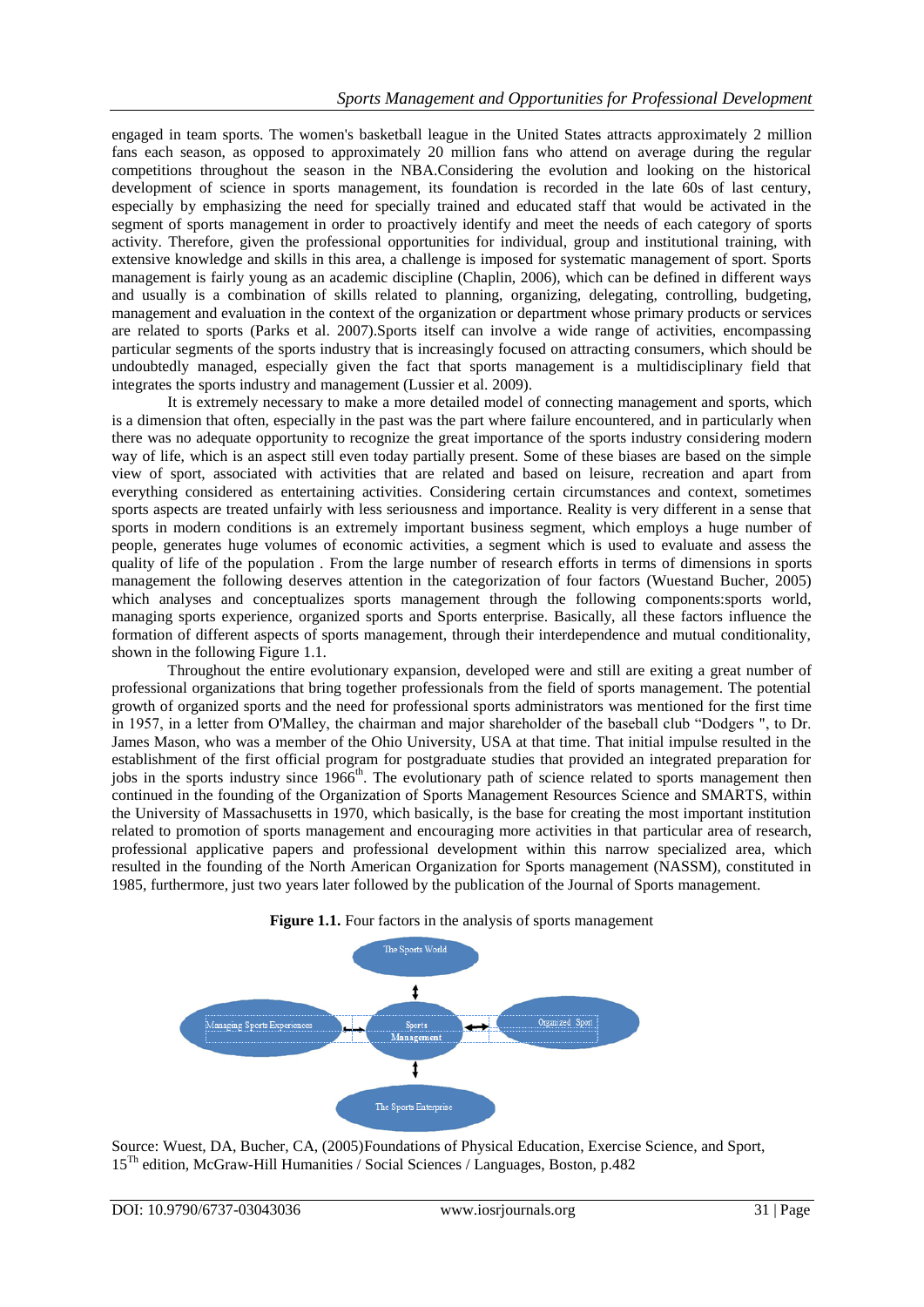engaged in team sports. The women's basketball league in the United States attracts approximately 2 million fans each season, as opposed to approximately 20 million fans who attend on average during the regular competitions throughout the season in the NBA.Considering the evolution and looking on the historical development of science in sports management, its foundation is recorded in the late 60s of last century, especially by emphasizing the need for specially trained and educated staff that would be activated in the segment of sports management in order to proactively identify and meet the needs of each category of sports activity. Therefore, given the professional opportunities for individual, group and institutional training, with extensive knowledge and skills in this area, a challenge is imposed for systematic management of sport. Sports management is fairly young as an academic discipline (Chaplin, 2006), which can be defined in different ways and usually is a combination of skills related to planning, organizing, delegating, controlling, budgeting, management and evaluation in the context of the organization or department whose primary products or services are related to sports (Parks et al. 2007).Sports itself can involve a wide range of activities, encompassing particular segments of the sports industry that is increasingly focused on attracting consumers, which should be undoubtedly managed, especially given the fact that sports management is a multidisciplinary field that integrates the sports industry and management (Lussier et al. 2009).

It is extremely necessary to make a more detailed model of connecting management and sports, which is a dimension that often, especially in the past was the part where failure encountered, and in particularly when there was no adequate opportunity to recognize the great importance of the sports industry considering modern way of life, which is an aspect still even today partially present. Some of these biases are based on the simple view of sport, associated with activities that are related and based on leisure, recreation and apart from everything considered as entertaining activities. Considering certain circumstances and context, sometimes sports aspects are treated unfairly with less seriousness and importance. Reality is very different in a sense that sports in modern conditions is an extremely important business segment, which employs a huge number of people, generates huge volumes of economic activities, a segment which is used to evaluate and assess the quality of life of the population . From the large number of research efforts in terms of dimensions in sports management the following deserves attention in the categorization of four factors (Wuestand Bucher, 2005) which analyses and conceptualizes sports management through the following components:sports world, managing sports experience, organized sports and Sports enterprise. Basically, all these factors influence the formation of different aspects of sports management, through their interdependence and mutual conditionality, shown in the following Figure 1.1.

Throughout the entire evolutionary expansion, developed were and still are exiting a great number of professional organizations that bring together professionals from the field of sports management. The potential growth of organized sports and the need for professional sports administrators was mentioned for the first time in 1957, in a letter from O'Malley, the chairman and major shareholder of the baseball club "Dodgers ", to Dr. James Mason, who was a member of the Ohio University, USA at that time. That initial impulse resulted in the establishment of the first official program for postgraduate studies that provided an integrated preparation for jobs in the sports industry since  $1966^{\text{th}}$ . The evolutionary path of science related to sports management then continued in the founding of the Organization of Sports Management Resources Science and SMARTS, within the University of Massachusetts in 1970, which basically, is the base for creating the most important institution related to promotion of sports management and encouraging more activities in that particular area of research, professional applicative papers and professional development within this narrow specialized area, which resulted in the founding of the North American Organization for Sports management (NASSM), constituted in 1985, furthermore, just two years later followed by the publication of the Journal of Sports management.





Source: Wuest, DA, Bucher, CA, (2005)Foundations of Physical Education, Exercise Science, and Sport, 15Th edition, McGraw-Hill Humanities / Social Sciences / Languages, Boston, p.482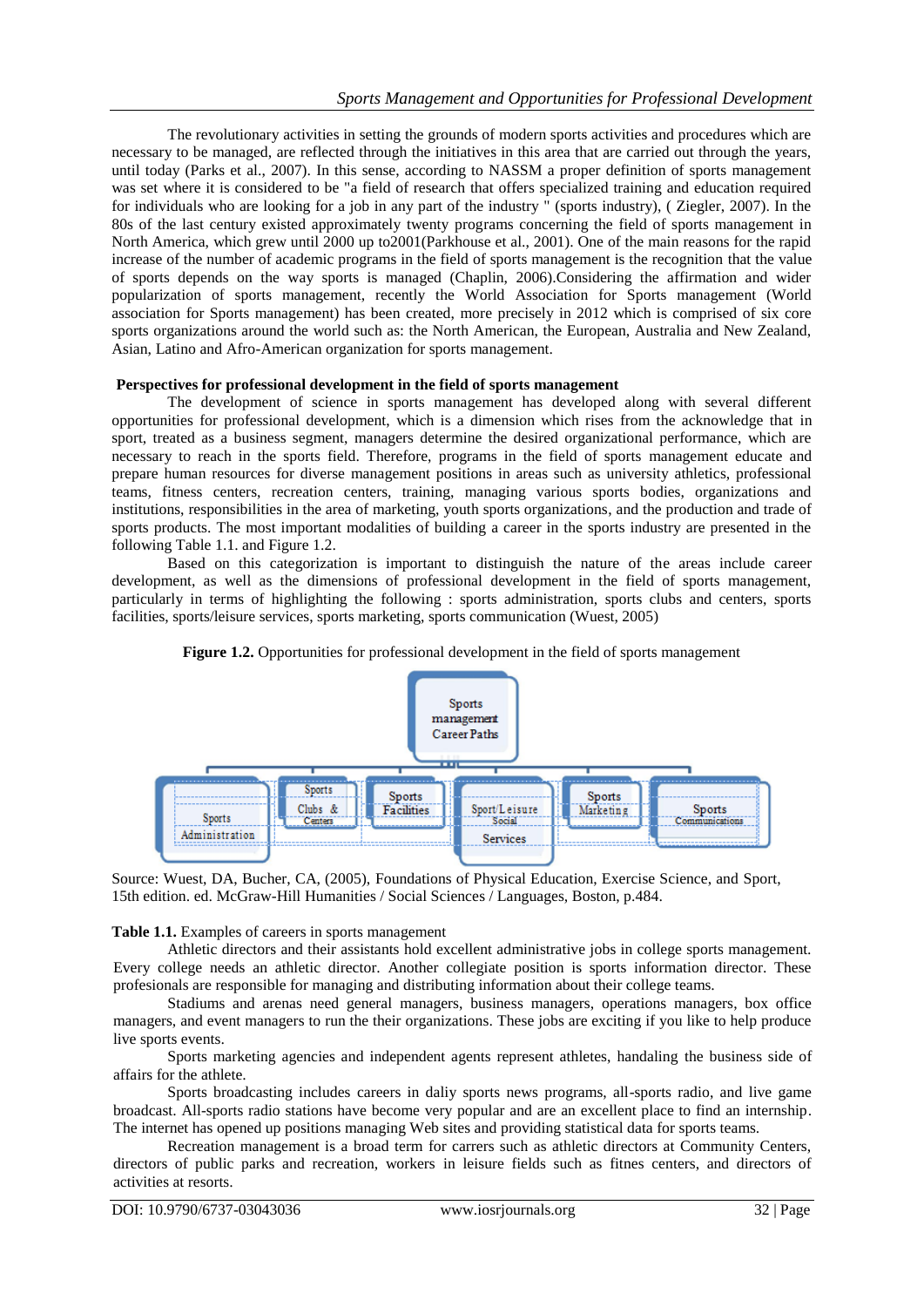The revolutionary activities in setting the grounds of modern sports activities and procedures which are necessary to be managed, are reflected through the initiatives in this area that are carried out through the years, until today (Parks et al., 2007). In this sense, according to NASSM a proper definition of sports management was set where it is considered to be "a field of research that offers specialized training and education required for individuals who are looking for a job in any part of the industry " (sports industry), ( Ziegler, 2007). In the 80s of the last century existed approximately twenty programs concerning the field of sports management in North America, which grew until 2000 up to2001(Parkhouse et al., 2001). One of the main reasons for the rapid increase of the number of academic programs in the field of sports management is the recognition that the value of sports depends on the way sports is managed (Chaplin, 2006).Considering the affirmation and wider popularization of sports management, recently the World Association for Sports management (World association for Sports management) has been created, more precisely in 2012 which is comprised of six core sports organizations around the world such as: the North American, the European, Australia and New Zealand, Asian, Latino and Afro-American organization for sports management.

#### **Perspectives for professional development in the field of sports management**

The development of science in sports management has developed along with several different opportunities for professional development, which is a dimension which rises from the acknowledge that in sport, treated as a business segment, managers determine the desired organizational performance, which are necessary to reach in the sports field. Therefore, programs in the field of sports management educate and prepare human resources for diverse management positions in areas such as university athletics, professional teams, fitness centers, recreation centers, training, managing various sports bodies, organizations and institutions, responsibilities in the area of marketing, youth sports organizations, and the production and trade of sports products. The most important modalities of building a career in the sports industry are presented in the following Table 1.1. and Figure 1.2.

Based on this categorization is important to distinguish the nature of the areas include career development, as well as the dimensions of professional development in the field of sports management, particularly in terms of highlighting the following : sports administration, sports clubs and centers, sports facilities, sports/leisure services, sports marketing, sports communication (Wuest, 2005)





Source: Wuest, DA, Bucher, CA, (2005), Foundations of Physical Education, Exercise Science, and Sport, 15th edition. ed. McGraw-Hill Humanities / Social Sciences / Languages, Boston, p.484.

**Table 1.1.** Examples of careers in sports management

Athletic directors and their assistants hold excellent administrative jobs in college sports management. Every college needs an athletic director. Another collegiate position is sports information director. These profesionals are responsible for managing and distributing information about their college teams.

Stadiums and arenas need general managers, business managers, operations managers, box office managers, and event managers to run the their organizations. These jobs are exciting if you like to help produce live sports events.

Sports marketing agencies and independent agents represent athletes, handaling the business side of affairs for the athlete.

Sports broadcasting includes careers in daliy sports news programs, all-sports radio, and live game broadcast. All-sports radio stations have become very popular and are an excellent place to find an internship. The internet has opened up positions managing Web sites and providing statistical data for sports teams.

Recreation management is a broad term for carrers such as athletic directors at Community Centers, directors of public parks and recreation, workers in leisure fields such as fitnes centers, and directors of activities at resorts.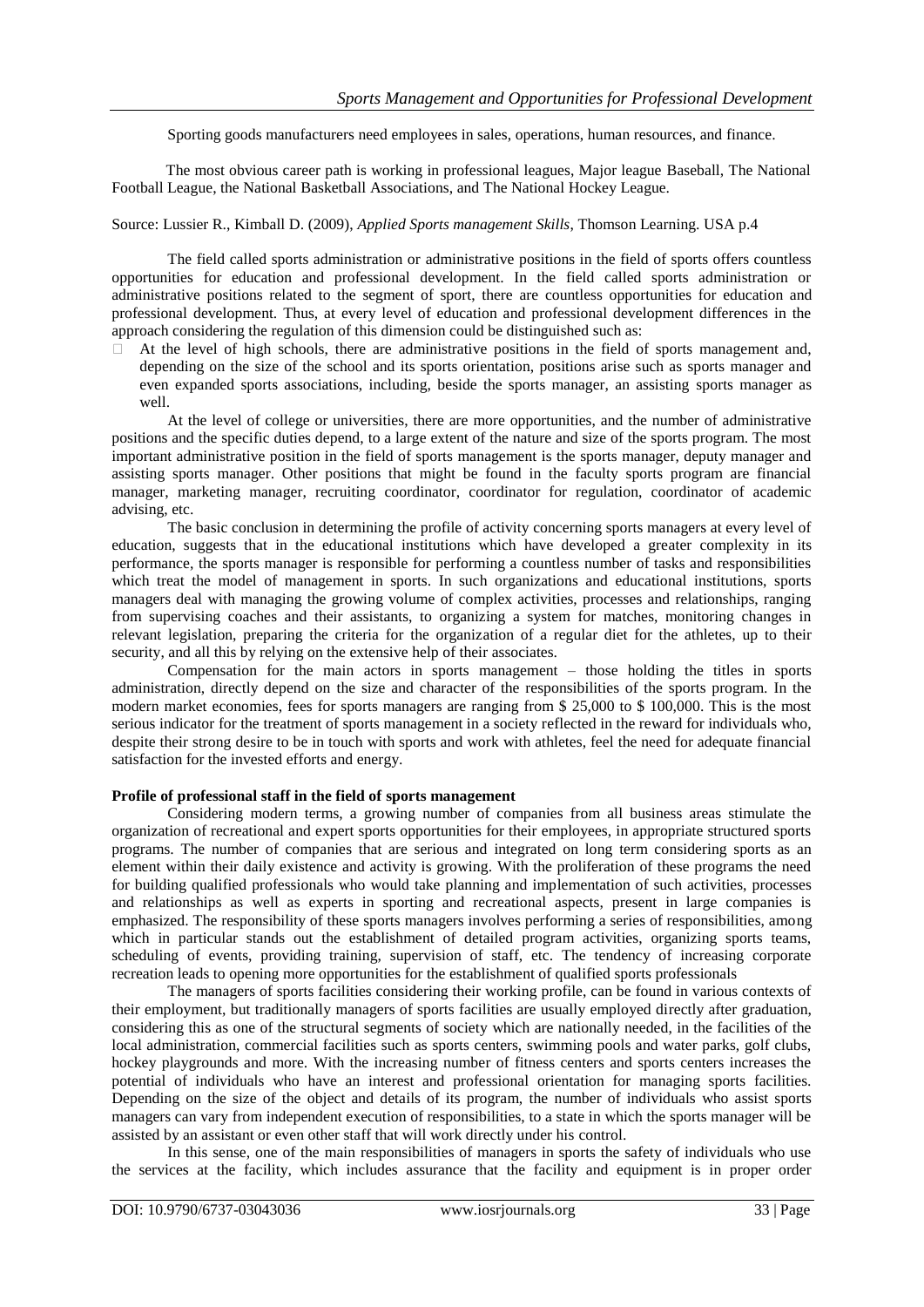Sporting goods manufacturers need employees in sales, operations, human resources, and finance.

The most obvious career path is working in professional leagues, Major league Baseball, The National Football League, the National Basketball Associations, and The National Hockey League.

Source: Lussier R., Kimball D. (2009), *Applied Sports management Skills*, Thomson Learning. USA p.4

The field called sports administration or administrative positions in the field of sports offers countless opportunities for education and professional development. In the field called sports administration or administrative positions related to the segment of sport, there are countless opportunities for education and professional development. Thus, at every level of education and professional development differences in the approach considering the regulation of this dimension could be distinguished such as:

 $\Box$  At the level of high schools, there are administrative positions in the field of sports management and, depending on the size of the school and its sports orientation, positions arise such as sports manager and even expanded sports associations, including, beside the sports manager, an assisting sports manager as well.

At the level of college or universities, there are more opportunities, and the number of administrative positions and the specific duties depend, to a large extent of the nature and size of the sports program. The most important administrative position in the field of sports management is the sports manager, deputy manager and assisting sports manager. Other positions that might be found in the faculty sports program are financial manager, marketing manager, recruiting coordinator, coordinator for regulation, coordinator of academic advising, etc.

The basic conclusion in determining the profile of activity concerning sports managers at every level of education, suggests that in the educational institutions which have developed a greater complexity in its performance, the sports manager is responsible for performing a countless number of tasks and responsibilities which treat the model of management in sports. In such organizations and educational institutions, sports managers deal with managing the growing volume of complex activities, processes and relationships, ranging from supervising coaches and their assistants, to organizing a system for matches, monitoring changes in relevant legislation, preparing the criteria for the organization of a regular diet for the athletes, up to their security, and all this by relying on the extensive help of their associates.

Compensation for the main actors in sports management – those holding the titles in sports administration, directly depend on the size and character of the responsibilities of the sports program. In the modern market economies, fees for sports managers are ranging from \$ 25,000 to \$ 100,000. This is the most serious indicator for the treatment of sports management in a society reflected in the reward for individuals who, despite their strong desire to be in touch with sports and work with athletes, feel the need for adequate financial satisfaction for the invested efforts and energy.

#### **Profile of professional staff in the field of sports management**

Considering modern terms, a growing number of companies from all business areas stimulate the organization of recreational and expert sports opportunities for their employees, in appropriate structured sports programs. The number of companies that are serious and integrated on long term considering sports as an element within their daily existence and activity is growing. With the proliferation of these programs the need for building qualified professionals who would take planning and implementation of such activities, processes and relationships as well as experts in sporting and recreational aspects, present in large companies is emphasized. The responsibility of these sports managers involves performing a series of responsibilities, among which in particular stands out the establishment of detailed program activities, organizing sports teams, scheduling of events, providing training, supervision of staff, etc. The tendency of increasing corporate recreation leads to opening more opportunities for the establishment of qualified sports professionals

The managers of sports facilities considering their working profile, can be found in various contexts of their employment, but traditionally managers of sports facilities are usually employed directly after graduation, considering this as one of the structural segments of society which are nationally needed, in the facilities of the local administration, commercial facilities such as sports centers, swimming pools and water parks, golf clubs, hockey playgrounds and more. With the increasing number of fitness centers and sports centers increases the potential of individuals who have an interest and professional orientation for managing sports facilities. Depending on the size of the object and details of its program, the number of individuals who assist sports managers can vary from independent execution of responsibilities, to a state in which the sports manager will be assisted by an assistant or even other staff that will work directly under his control.

In this sense, one of the main responsibilities of managers in sports the safety of individuals who use the services at the facility, which includes assurance that the facility and equipment is in proper order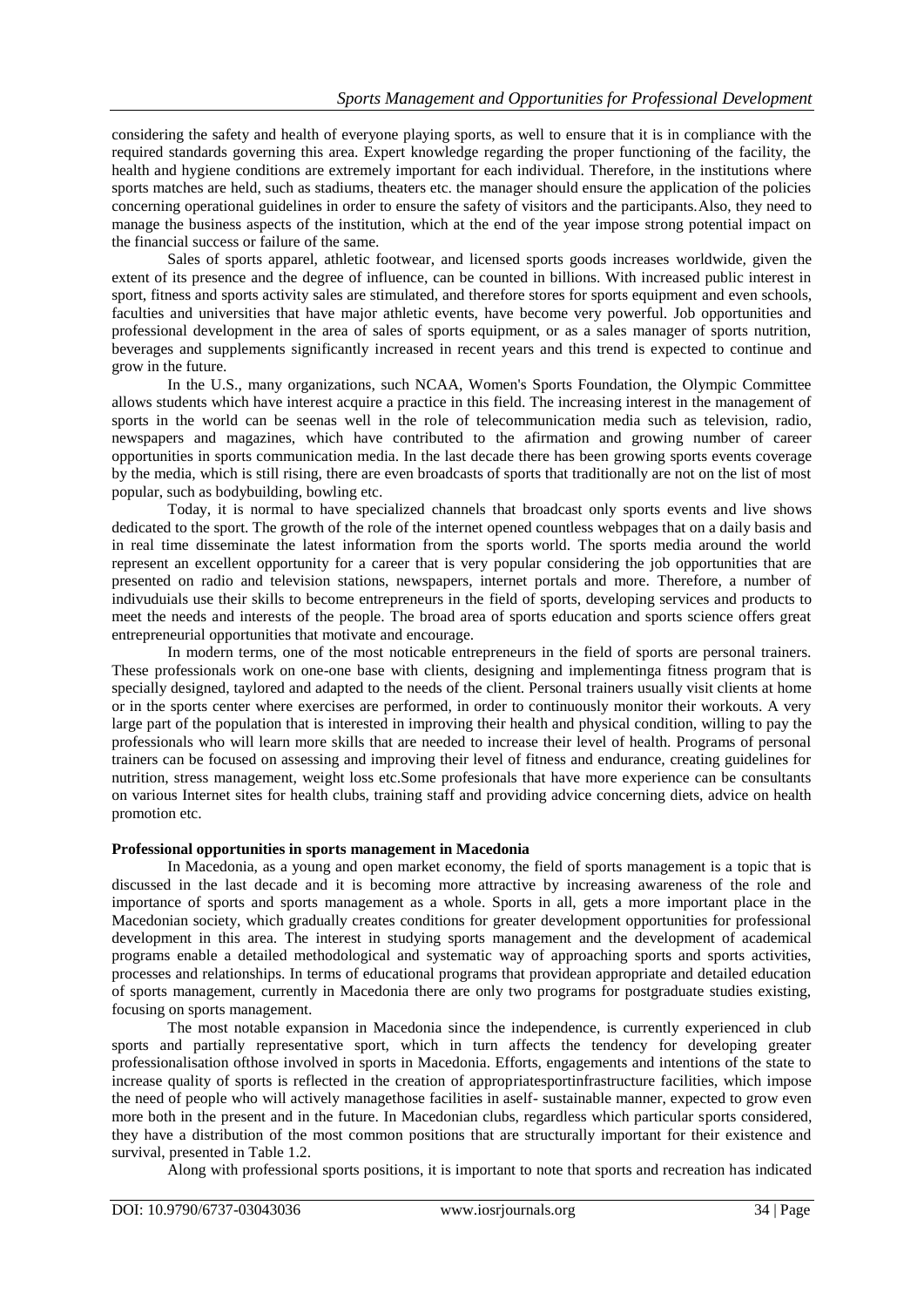considering the safety and health of everyone playing sports, as well to ensure that it is in compliance with the required standards governing this area. Expert knowledge regarding the proper functioning of the facility, the health and hygiene conditions are extremely important for each individual. Therefore, in the institutions where sports matches are held, such as stadiums, theaters etc. the manager should ensure the application of the policies concerning operational guidelines in order to ensure the safety of visitors and the participants.Also, they need to manage the business aspects of the institution, which at the end of the year impose strong potential impact on the financial success or failure of the same.

Sales of sports apparel, athletic footwear, and licensed sports goods increases worldwide, given the extent of its presence and the degree of influence, can be counted in billions. With increased public interest in sport, fitness and sports activity sales are stimulated, and therefore stores for sports equipment and even schools, faculties and universities that have major athletic events, have become very powerful. Job opportunities and professional development in the area of sales of sports equipment, or as a sales manager of sports nutrition, beverages and supplements significantly increased in recent years and this trend is expected to continue and grow in the future.

In the U.S., many organizations, such NCAA, Women's Sports Foundation, the Olympic Committee allows students which have interest acquire a practice in this field. The increasing interest in the management of sports in the world can be seenas well in the role of telecommunication media such as television, radio, newspapers and magazines, which have contributed to the afirmation and growing number of career opportunities in sports communication media. In the last decade there has been growing sports events coverage by the media, which is still rising, there are even broadcasts of sports that traditionally are not on the list of most popular, such as bodybuilding, bowling etc.

Today, it is normal to have specialized channels that broadcast only sports events and live shows dedicated to the sport. The growth of the role of the internet opened countless webpages that on a daily basis and in real time disseminate the latest information from the sports world. The sports media around the world represent an excellent opportunity for a career that is very popular considering the job opportunities that are presented on radio and television stations, newspapers, internet portals and more. Therefore, a number of indivuduials use their skills to become entrepreneurs in the field of sports, developing services and products to meet the needs and interests of the people. The broad area of sports education and sports science offers great entrepreneurial opportunities that motivate and encourage.

In modern terms, one of the most noticable entrepreneurs in the field of sports are personal trainers. These professionals work on one-one base with clients, designing and implementinga fitness program that is specially designed, taylored and adapted to the needs of the client. Personal trainers usually visit clients at home or in the sports center where exercises are performed, in order to continuously monitor their workouts. A very large part of the population that is interested in improving their health and physical condition, willing to pay the professionals who will learn more skills that are needed to increase their level of health. Programs of personal trainers can be focused on assessing and improving their level of fitness and endurance, creating guidelines for nutrition, stress management, weight loss etc.Some profesionals that have more experience can be consultants on various Internet sites for health clubs, training staff and providing advice concerning diets, advice on health promotion etc.

## **Professional opportunities in sports management in Macedonia**

In Macedonia, as a young and open market economy, the field of sports management is a topic that is discussed in the last decade and it is becoming more attractive by increasing awareness of the role and importance of sports and sports management as a whole. Sports in all, gets a more important place in the Macedonian society, which gradually creates conditions for greater development opportunities for professional development in this area. The interest in studying sports management and the development of academical programs enable a detailed methodological and systematic way of approaching sports and sports activities, processes and relationships. In terms of educational programs that providean appropriate and detailed education of sports management, currently in Macedonia there are only two programs for postgraduate studies existing, focusing on sports management.

The most notable expansion in Macedonia since the independence, is currently experienced in club sports and partially representative sport, which in turn affects the tendency for developing greater professionalisation ofthose involved in sports in Macedonia. Efforts, engagements and intentions of the state to increase quality of sports is reflected in the creation of appropriatesportinfrastructure facilities, which impose the need of people who will actively managethose facilities in aself- sustainable manner, expected to grow even more both in the present and in the future. In Macedonian clubs, regardless which particular sports considered, they have a distribution of the most common positions that are structurally important for their existence and survival, presented in Table 1.2.

Along with professional sports positions, it is important to note that sports and recreation has indicated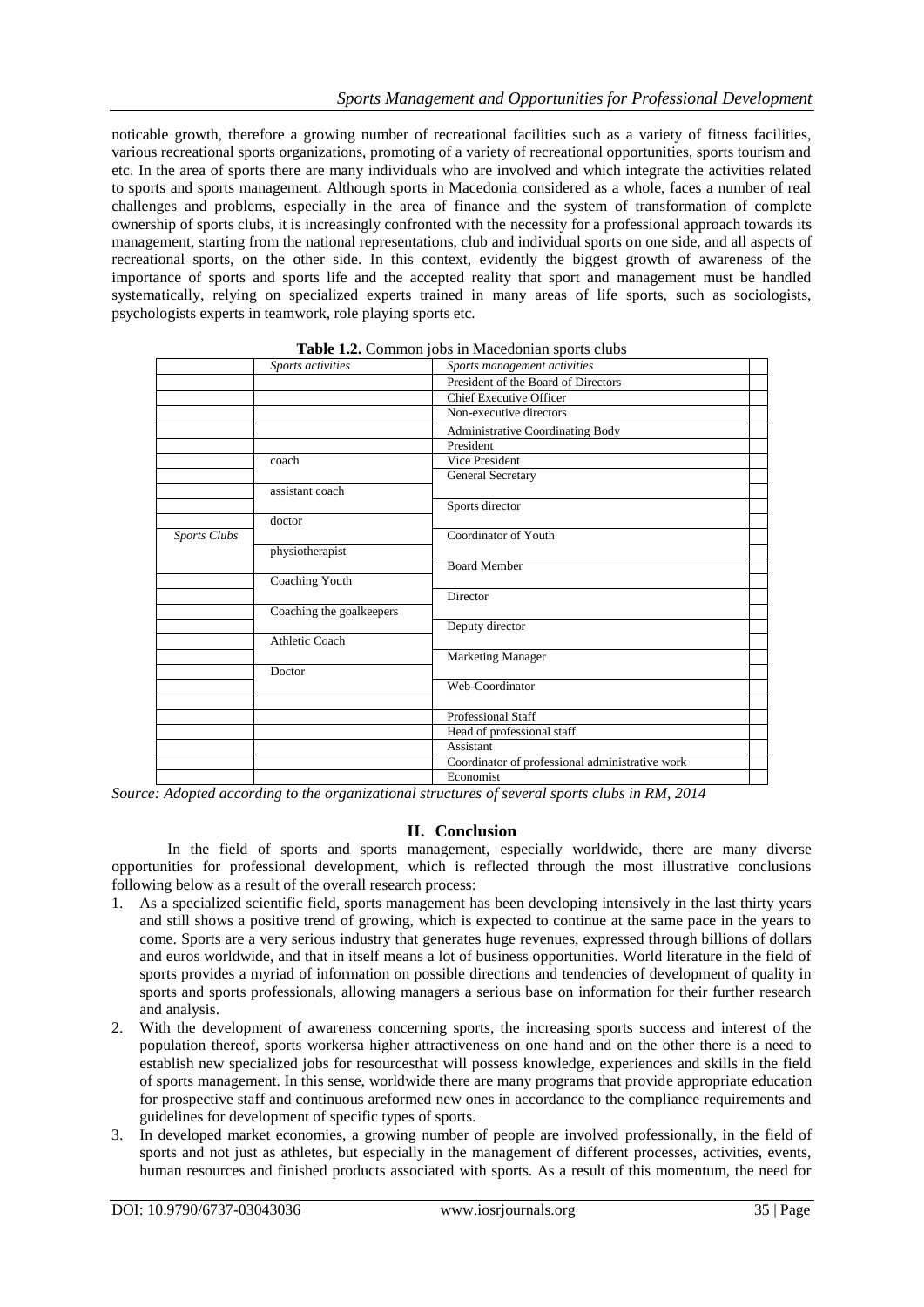noticable growth, therefore a growing number of recreational facilities such as a variety of fitness facilities, various recreational sports organizations, promoting of a variety of recreational opportunities, sports tourism and etc. In the area of sports there are many individuals who are involved and which integrate the activities related to sports and sports management. Although sports in Macedonia considered as a whole, faces a number of real challenges and problems, especially in the area of finance and the system of transformation of complete ownership of sports clubs, it is increasingly confronted with the necessity for a professional approach towards its management, starting from the national representations, club and individual sports on one side, and all aspects of recreational sports, on the other side. In this context, evidently the biggest growth of awareness of the importance of sports and sports life and the accepted reality that sport and management must be handled systematically, relying on specialized experts trained in many areas of life sports, such as sociologists, psychologists experts in teamwork, role playing sports etc.

|                     | Sports activities        | Sports management activities                    |  |
|---------------------|--------------------------|-------------------------------------------------|--|
|                     |                          | President of the Board of Directors             |  |
|                     |                          | Chief Executive Officer                         |  |
|                     |                          | Non-executive directors                         |  |
|                     |                          | Administrative Coordinating Body                |  |
|                     |                          | President                                       |  |
|                     | coach                    | Vice President                                  |  |
|                     |                          | General Secretary                               |  |
|                     | assistant coach          |                                                 |  |
|                     |                          | Sports director                                 |  |
|                     | doctor                   |                                                 |  |
| <b>Sports Clubs</b> |                          | Coordinator of Youth                            |  |
|                     | physiotherapist          |                                                 |  |
|                     |                          | <b>Board Member</b>                             |  |
|                     | Coaching Youth           |                                                 |  |
|                     |                          | Director                                        |  |
|                     | Coaching the goalkeepers |                                                 |  |
|                     |                          | Deputy director                                 |  |
|                     | Athletic Coach           |                                                 |  |
|                     |                          | <b>Marketing Manager</b>                        |  |
|                     | Doctor                   |                                                 |  |
|                     |                          | Web-Coordinator                                 |  |
|                     |                          |                                                 |  |
|                     |                          | Professional Staff                              |  |
|                     |                          | Head of professional staff                      |  |
|                     |                          | Assistant                                       |  |
|                     |                          | Coordinator of professional administrative work |  |
|                     |                          | Economist                                       |  |

| Table 1.2. Common jobs in Macedonian sports clubs |  |  |  |
|---------------------------------------------------|--|--|--|
|---------------------------------------------------|--|--|--|

*Source: Adopted according to the organizational structures of several sports clubs in RM, 2014*

#### **II. Conclusion**

In the field of sports and sports management, especially worldwide, there are many diverse opportunities for professional development, which is reflected through the most illustrative conclusions following below as a result of the overall research process:

- 1. As a specialized scientific field, sports management has been developing intensively in the last thirty years and still shows a positive trend of growing, which is expected to continue at the same pace in the years to come. Sports are a very serious industry that generates huge revenues, expressed through billions of dollars and euros worldwide, and that in itself means a lot of business opportunities. World literature in the field of sports provides a myriad of information on possible directions and tendencies of development of quality in sports and sports professionals, allowing managers a serious base on information for their further research and analysis.
- 2. With the development of awareness concerning sports, the increasing sports success and interest of the population thereof, sports workersa higher attractiveness on one hand and on the other there is a need to establish new specialized jobs for resourcesthat will possess knowledge, experiences and skills in the field of sports management. In this sense, worldwide there are many programs that provide appropriate education for prospective staff and continuous areformed new ones in accordance to the compliance requirements and guidelines for development of specific types of sports.
- 3. In developed market economies, a growing number of people are involved professionally, in the field of sports and not just as athletes, but especially in the management of different processes, activities, events, human resources and finished products associated with sports. As a result of this momentum, the need for